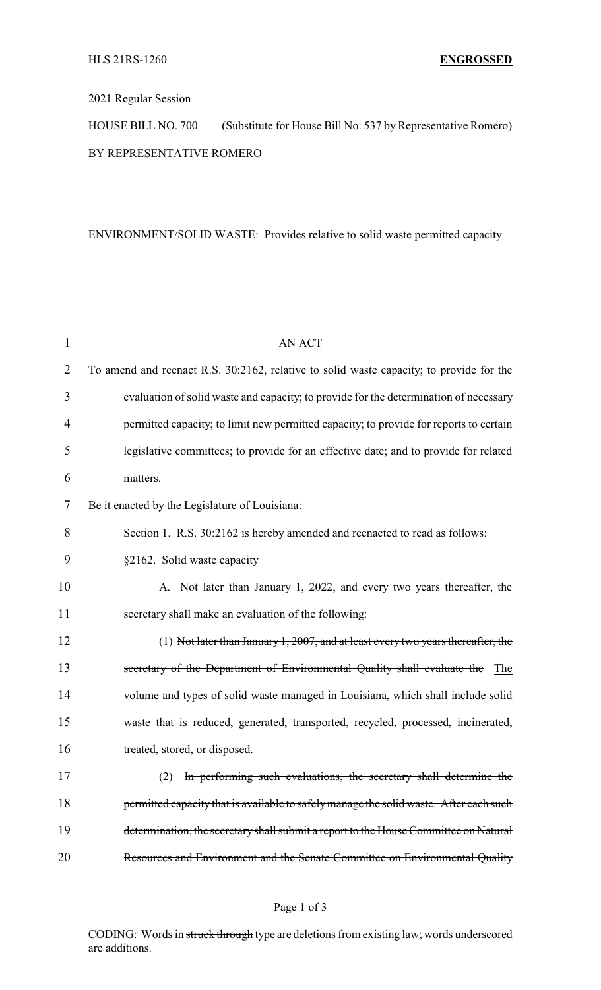## 2021 Regular Session

HOUSE BILL NO. 700 (Substitute for House Bill No. 537 by Representative Romero) BY REPRESENTATIVE ROMERO

## ENVIRONMENT/SOLID WASTE: Provides relative to solid waste permitted capacity

| $\mathbf{1}$ | <b>AN ACT</b>                                                                           |  |  |
|--------------|-----------------------------------------------------------------------------------------|--|--|
| 2            | To amend and reenact R.S. 30:2162, relative to solid waste capacity; to provide for the |  |  |
| 3            | evaluation of solid waste and capacity; to provide for the determination of necessary   |  |  |
| 4            | permitted capacity; to limit new permitted capacity; to provide for reports to certain  |  |  |
| 5            | legislative committees; to provide for an effective date; and to provide for related    |  |  |
| 6            | matters.                                                                                |  |  |
| 7            | Be it enacted by the Legislature of Louisiana:                                          |  |  |
| 8            | Section 1. R.S. 30:2162 is hereby amended and reenacted to read as follows:             |  |  |
| 9            | §2162. Solid waste capacity                                                             |  |  |
| 10           | A. Not later than January 1, 2022, and every two years thereafter, the                  |  |  |
| 11           | secretary shall make an evaluation of the following:                                    |  |  |
| 12           | $(1)$ Not later than January 1, 2007, and at least every two years thereafter, the      |  |  |
| 13           | secretary of the Department of Environmental Quality shall evaluate the<br>The          |  |  |
| 14           | volume and types of solid waste managed in Louisiana, which shall include solid         |  |  |
| 15           | waste that is reduced, generated, transported, recycled, processed, incinerated,        |  |  |
| 16           | treated, stored, or disposed.                                                           |  |  |
| 17           | (2) In performing such evaluations, the secretary shall determine the                   |  |  |
| 18           | permitted capacity that is available to safely manage the solid waste. After each such  |  |  |
| 19           | determination, the secretary shall submit a report to the House Committee on Natural    |  |  |
| 20           | Resources and Environment and the Senate Committee on Environmental Quality             |  |  |

## Page 1 of 3

CODING: Words in struck through type are deletions from existing law; words underscored are additions.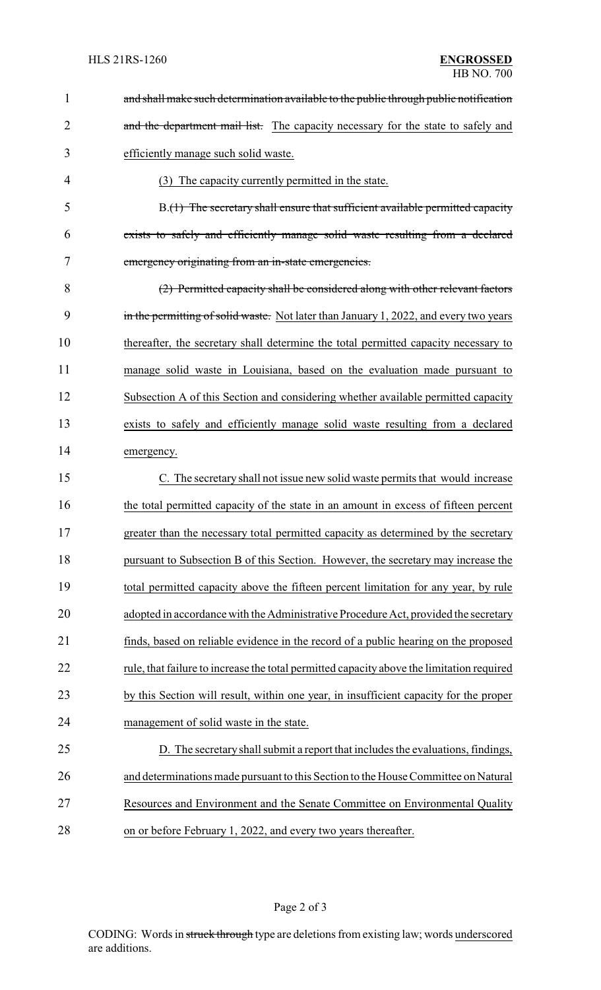| $\mathbf{1}$   | and shall make such determination available to the public through public notification     |
|----------------|-------------------------------------------------------------------------------------------|
| $\overline{2}$ | and the department mail list. The capacity necessary for the state to safely and          |
| 3              | efficiently manage such solid waste.                                                      |
| 4              | (3) The capacity currently permitted in the state.                                        |
| 5              | B.(1) The secretary shall ensure that sufficient available permitted capacity             |
| 6              | exists to safely and efficiently manage solid waste resulting from a declared             |
| 7              | emergency originating from an in-state emergencies.                                       |
| 8              | (2) Permitted capacity shall be considered along with other relevant factors              |
| 9              | in the permitting of solid waste. Not later than January 1, 2022, and every two years     |
| 10             | thereafter, the secretary shall determine the total permitted capacity necessary to       |
| 11             | manage solid waste in Louisiana, based on the evaluation made pursuant to                 |
| 12             | Subsection A of this Section and considering whether available permitted capacity         |
| 13             | exists to safely and efficiently manage solid waste resulting from a declared             |
| 14             | emergency.                                                                                |
| 15             | C. The secretary shall not issue new solid waste permits that would increase              |
| 16             | the total permitted capacity of the state in an amount in excess of fifteen percent       |
| 17             | greater than the necessary total permitted capacity as determined by the secretary        |
| 18             | pursuant to Subsection B of this Section. However, the secretary may increase the         |
| 19             | total permitted capacity above the fifteen percent limitation for any year, by rule       |
| 20             | adopted in accordance with the Administrative Procedure Act, provided the secretary       |
| 21             | finds, based on reliable evidence in the record of a public hearing on the proposed       |
| 22             | rule, that failure to increase the total permitted capacity above the limitation required |
| 23             | by this Section will result, within one year, in insufficient capacity for the proper     |
| 24             | management of solid waste in the state.                                                   |
| 25             | D. The secretary shall submit a report that includes the evaluations, findings,           |
| 26             | and determinations made pursuant to this Section to the House Committee on Natural        |
| 27             | Resources and Environment and the Senate Committee on Environmental Quality               |
| 28             | on or before February 1, 2022, and every two years thereafter.                            |